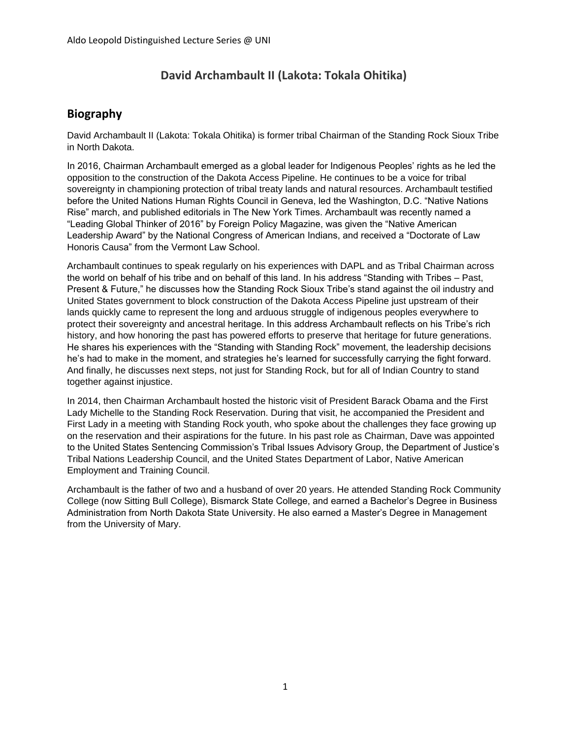# **David Archambault II (Lakota: Tokala Ohitika)**

### **Biography**

David Archambault II (Lakota: Tokala Ohitika) is former tribal Chairman of the Standing Rock Sioux Tribe in North Dakota.

In 2016, Chairman Archambault emerged as a global leader for Indigenous Peoples' rights as he led the opposition to the construction of the Dakota Access Pipeline. He continues to be a voice for tribal sovereignty in championing protection of tribal treaty lands and natural resources. Archambault testified before the United Nations Human Rights Council in Geneva, led the Washington, D.C. "Native Nations Rise" march, and published editorials in The New York Times. Archambault was recently named a "Leading Global Thinker of 2016" by Foreign Policy Magazine, was given the "Native American Leadership Award" by the National Congress of American Indians, and received a "Doctorate of Law Honoris Causa" from the Vermont Law School.

Archambault continues to speak regularly on his experiences with DAPL and as Tribal Chairman across the world on behalf of his tribe and on behalf of this land. In his address "Standing with Tribes – Past, Present & Future," he discusses how the Standing Rock Sioux Tribe's stand against the oil industry and United States government to block construction of the Dakota Access Pipeline just upstream of their lands quickly came to represent the long and arduous struggle of indigenous peoples everywhere to protect their sovereignty and ancestral heritage. In this address Archambault reflects on his Tribe's rich history, and how honoring the past has powered efforts to preserve that heritage for future generations. He shares his experiences with the "Standing with Standing Rock" movement, the leadership decisions he's had to make in the moment, and strategies he's learned for successfully carrying the fight forward. And finally, he discusses next steps, not just for Standing Rock, but for all of Indian Country to stand together against injustice.

In 2014, then Chairman Archambault hosted the historic visit of President Barack Obama and the First Lady Michelle to the Standing Rock Reservation. During that visit, he accompanied the President and First Lady in a meeting with Standing Rock youth, who spoke about the challenges they face growing up on the reservation and their aspirations for the future. In his past role as Chairman, Dave was appointed to the United States Sentencing Commission's Tribal Issues Advisory Group, the Department of Justice's Tribal Nations Leadership Council, and the United States Department of Labor, Native American Employment and Training Council.

Archambault is the father of two and a husband of over 20 years. He attended Standing Rock Community College (now Sitting Bull College), Bismarck State College, and earned a Bachelor's Degree in Business Administration from North Dakota State University. He also earned a Master's Degree in Management from the University of Mary.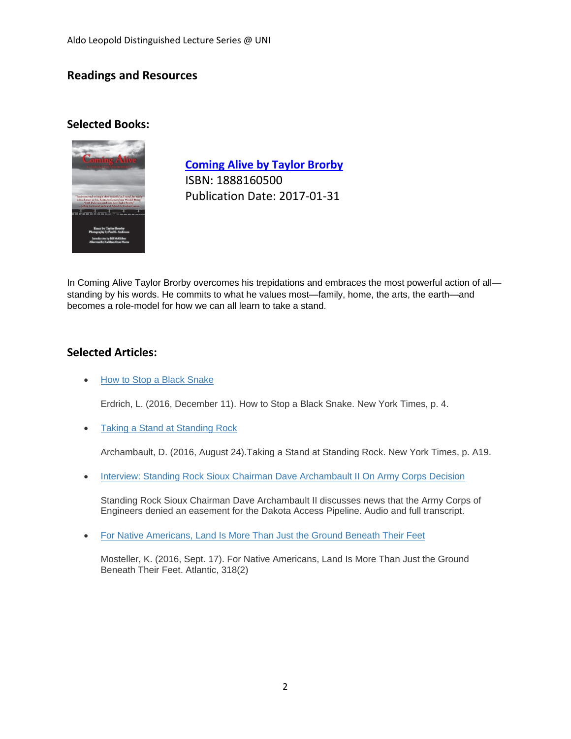## **Readings and Resources**

#### **Selected Books:**



**[Coming Alive by Taylor Brorby](https://www.amazon.com/gp/product/1888160500)** ISBN: 1888160500 Publication Date: 2017-01-31

In Coming Alive Taylor Brorby overcomes his trepidations and embraces the most powerful action of all standing by his words. He commits to what he values most—family, home, the arts, the earth—and becomes a role-model for how we can all learn to take a stand.

### **Selected Articles:**

• [How to Stop a Black Snake](https://www.nytimes.com/2016/12/10/opinion/sunday/how-to-stop-a-black-snake.html)

Erdrich, L. (2016, December 11). How to Stop a Black Snake. New York Times, p. 4.

• [Taking a Stand at Standing Rock](https://www.nytimes.com/2016/08/25/opinion/taking-a-stand-at-standing-rock.html)

Archambault, D. (2016, August 24).Taking a Stand at Standing Rock. New York Times, p. A19.

• [Interview: Standing Rock Sioux Chairman Dave Archambault II On Army Corps Decision](https://www.npr.org/2016/12/04/504365465/standing-rock-sioux-chairman-dave-archambault-ii-on-army-corps-decision)

Standing Rock Sioux Chairman Dave Archambault II discusses news that the Army Corps of Engineers denied an easement for the Dakota Access Pipeline. Audio and full transcript.

[For Native Americans, Land Is More Than Just the Ground Beneath Their Feet](https://www.theatlantic.com/politics/archive/2016/09/for-native-americans-land-is-more-than-just-the-ground-beneath-their-feet/500462/)

Mosteller, K. (2016, Sept. 17). For Native Americans, Land Is More Than Just the Ground Beneath Their Feet. Atlantic, 318(2)